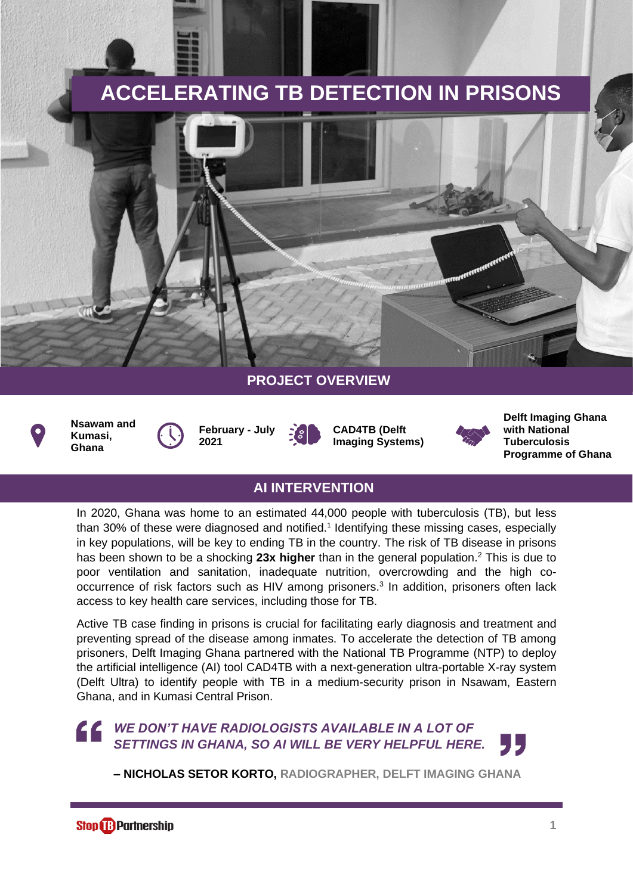# **ACCELERATING TB DETECTION IN PRISONS**



### **PROJECT OVERVIEW**



**Nsawam and Kumasi, Ghana**

**February - July 2021**

**CAD4TB (Delft Imaging Systems)**



**Delft Imaging Ghana with National Tuberculosis Programme of Ghana**

### **AI INTERVENTION**

In 2020, Ghana was home to an estimated 44,000 people with tuberculosis (TB), but less than 30% of these were diagnosed and notified.<sup>1</sup> Identifying these missing cases, especially in key populations, will be key to ending TB in the country. The risk of TB disease in prisons has been shown to be a shocking **23x higher** than in the general population. <sup>2</sup> This is due to poor ventilation and sanitation, inadequate nutrition, overcrowding and the high cooccurrence of risk factors such as HIV among prisoners. 3 In addition, prisoners often lack access to key health care services, including those for TB.

Active TB case finding in prisons is crucial for facilitating early diagnosis and treatment and preventing spread of the disease among inmates. To accelerate the detection of TB among prisoners, Delft Imaging Ghana partnered with the National TB Programme (NTP) to deploy the artificial intelligence (AI) tool CAD4TB with a next-generation ultra-portable X-ray system (Delft Ultra) to identify people with TB in a medium-security prison in Nsawam, Eastern Ghana, and in Kumasi Central Prison.

#### *WE DON'T HAVE RADIOLOGISTS AVAILABLE IN A LOT OF* 66 *SETTINGS IN GHANA, SO AI WILL BE VERY HELPFUL HERE.* , 15

**– NICHOLAS SETOR KORTO, RADIOGRAPHER, DELFT IMAGING GHANA**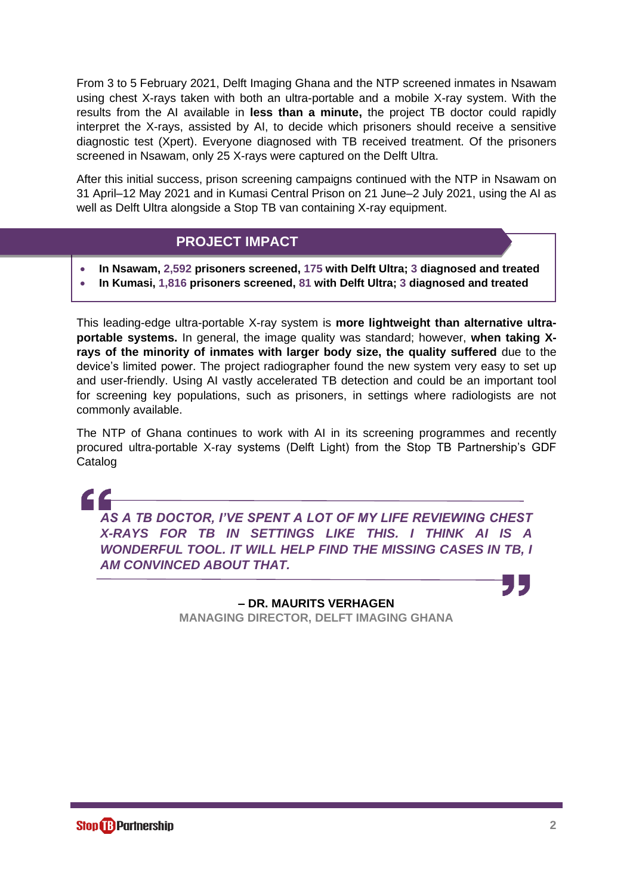From 3 to 5 February 2021, Delft Imaging Ghana and the NTP screened inmates in Nsawam using chest X-rays taken with both an ultra-portable and a mobile X-ray system. With the results from the AI available in **less than a minute,** the project TB doctor could rapidly interpret the X-rays, assisted by AI, to decide which prisoners should receive a sensitive diagnostic test (Xpert). Everyone diagnosed with TB received treatment. Of the prisoners screened in Nsawam, only 25 X-rays were captured on the Delft Ultra.

After this initial success, prison screening campaigns continued with the NTP in Nsawam on 31 April–12 May 2021 and in Kumasi Central Prison on 21 June–2 July 2021, using the AI as well as Delft Ultra alongside a Stop TB van containing X-ray equipment.

### **PROJECT IMPACT**

- **In Nsawam, 2,592 prisoners screened, 175 with Delft Ultra; 3 diagnosed and treated**
- **In Kumasi, 1,816 prisoners screened, 81 with Delft Ultra; 3 diagnosed and treated**

This leading-edge ultra-portable X-ray system is **more lightweight than alternative ultraportable systems.** In general, the image quality was standard; however, **when taking Xrays of the minority of inmates with larger body size, the quality suffered** due to the device's limited power. The project radiographer found the new system very easy to set up and user-friendly. Using AI vastly accelerated TB detection and could be an important tool for screening key populations, such as prisoners, in settings where radiologists are not commonly available.

The NTP of Ghana continues to work with AI in its screening programmes and recently procured ultra-portable X-ray systems (Delft Light) from the Stop TB Partnership's GDF Catalog

*AS A TB DOCTOR, I'VE SPENT A LOT OF MY LIFE REVIEWING CHEST X-RAYS FOR TB IN SETTINGS LIKE THIS. I THINK AI IS A WONDERFUL TOOL. IT WILL HELP FIND THE MISSING CASES IN TB, I AM CONVINCED ABOUT THAT.*

> **– DR. MAURITS VERHAGEN MANAGING DIRECTOR, DELFT IMAGING GHANA**

CC